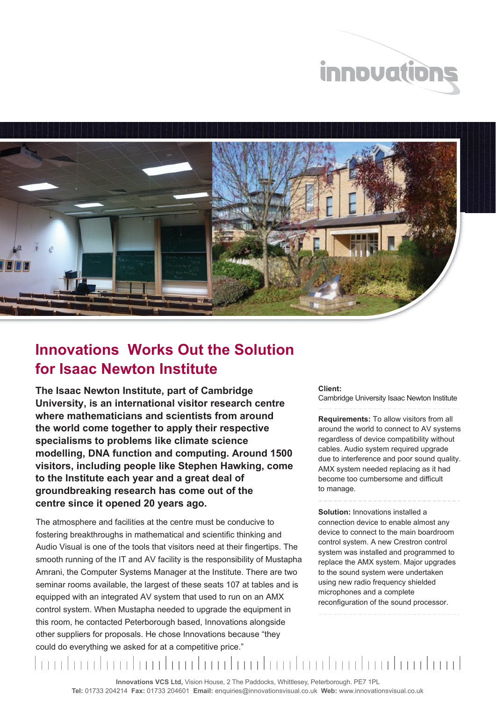



## **Innovations Works Out the Solution for Isaac Newton Institute**

**The Isaac Newton Institute, part of Cambridge University, is an international visitor research centre where mathematicians and scientists from around the world come together to apply their respective specialisms to problems like climate science modelling, DNA function and computing. Around 1500 visitors, including people like Stephen Hawking, come to the Institute each year and a great deal of groundbreaking research has come out of the centre since it opened 20 years ago.**

The atmosphere and facilities at the centre must be conducive to fostering breakthroughs in mathematical and scientific thinking and Audio Visual is one of the tools that visitors need at their fingertips. The smooth running of the IT and AV facility is the responsibility of Mustapha Amrani, the Computer Systems Manager at the Institute. There are two seminar rooms available, the largest of these seats 107 at tables and is equipped with an integrated AV system that used to run on an AMX control system. When Mustapha needed to upgrade the equipment in this room, he contacted Peterborough based, Innovations alongside other suppliers for proposals. He chose Innovations because "they could do everything we asked for at a competitive price."

## **Client:**  Cambridge University Isaac Newton Institute

**Requirements:** To allow visitors from all around the world to connect to AV systems regardless of device compatibility without cables. Audio system required upgrade due to interference and poor sound quality. AMX system needed replacing as it had become too cumbersome and difficult to manage.

**Solution:** Innovations installed a connection device to enable almost any device to connect to the main boardroom control system. A new Crestron control system was installed and programmed to replace the AMX system. Major upgrades to the sound system were undertaken using new radio frequency shielded microphones and a complete reconfiguration of the sound processor.

m dan bardan barbartan barbartan barbartan bar

**Innovations VCS Ltd,** Vision House, 2 The Paddocks, Whittlesey, Peterborough. PE7 1PL **Tel:** 01733 204214 **Fax:** 01733 204601 **Email:** enquiries@innovationsvisual.co.uk **Web:** www.innovationsvisual.co.uk